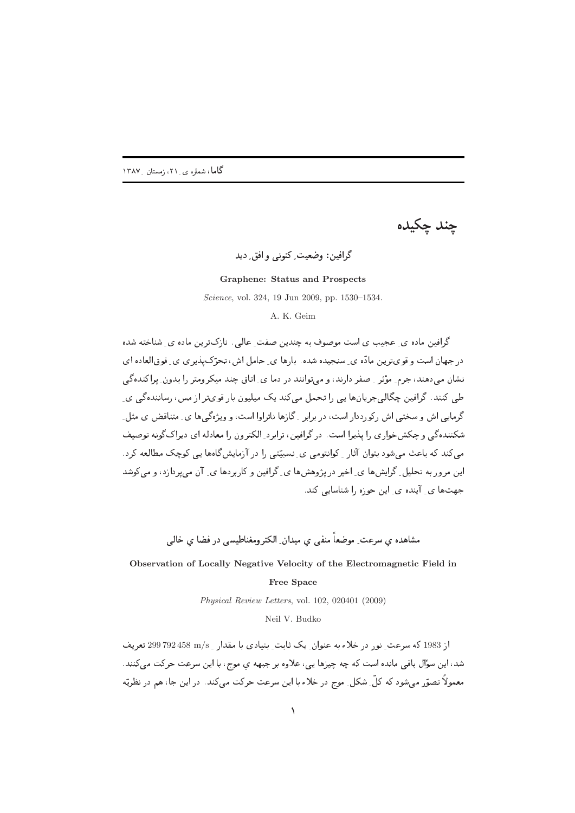-discrete the contract of  $\mathbf{f}$  and  $\mathbf{f}$  are contract to  $\mathbf{f}$  and  $\mathbf{f}$  are contract to  $\mathbf{f}$ 

## -

### **Graphene: Status and Prospects**

*Science*, vol. 324, 19 Jun 2009, pp. 1530–1534.

A. K. Geim

-  

-  !"#  
"\$ % در جهان است و فویترین ماده ی ِ سنجیده شده. بارها ی ِ حامل اس ، تحرّکپلیری ی ِ فوقالعاده ای لنشأن می دهند، جرم ِ موتر ِ صفر دارند، و میتوانند در دما ی ِ اتاق چند میکرومتر را بدون ِ پراکندهگی %-0 < 1 0 3"=" > -6 -?+ 0 /3 5@ 
"\$ % -6 A -B C1 /%D2 2 2 /% 0 0 0 60 , E 2 , % - ۲۰۰۰ تا *د د*ې د پارلی لار پارلی کې د د مورد پارلی کې د مورد کې د مورد په کال کې د مورد کې د مورد کې د مورد ک ی میں اس کا رہا ہے کہ اس کا اس کا اس کا اس کا اس کا اس کا اس کا اس کا ان کا ان کا ان کا ان کا ان کا ان کا ان ک … است المستقلَّ المستقلَّ المستقلَّ المستقلَّ المستقلَّ المستقلَّ المستقلَّ المستقلَّ المستقلَّ المستقلَّ المس - In the contract of the contract of the contract of the contract of the contract of the contract of the contract of the contract of the contract of the contract of the contract of the contract of the contract of the contr

مشاهده ي سرعت ِ موضعاً منفي ي ميدان ِ الكترومعناطيسي در فضا ي حالي

#### **Observation of Locally Negative Velocity of the Electromagnetic Field in**

#### **Free Space**

*Physical Review Letters*, vol. 102, 020401 (2009)

Neil V. Budko

از 1983 که سرعت ِ نور در خلاء به عنوان ِ یک ثابت ِ بنیادی با مقدار 158 x 59 792 999 تعریف  $\sim$  6.  $\sim$  6.  $\sim$  6.  $\sim$  6.  $\sim$  6.  $\sim$  6.  $\sim$  6.  $\sim$  6.  $\sim$  6.  $\sim$  6.  $\sim$  6.  $\sim$  6.  $\sim$  6.  $\sim$  6.  $\sim$  6.  $\sim$  6.  $\sim$  6.  $\sim$  6.  $\sim$  6.  $\sim$  6.  $\sim$  6.  $\sim$  6.  $\sim$  6.  $\sim$  6.  $\sim$  6.  $\sim$  6.  $\sim$  6.  $\sim$  للمسود الصلور للي سود الله التال السابع الراحل العرب التي سرحت التراعت للي للبنا. الأراض ب السم الأراضي ب